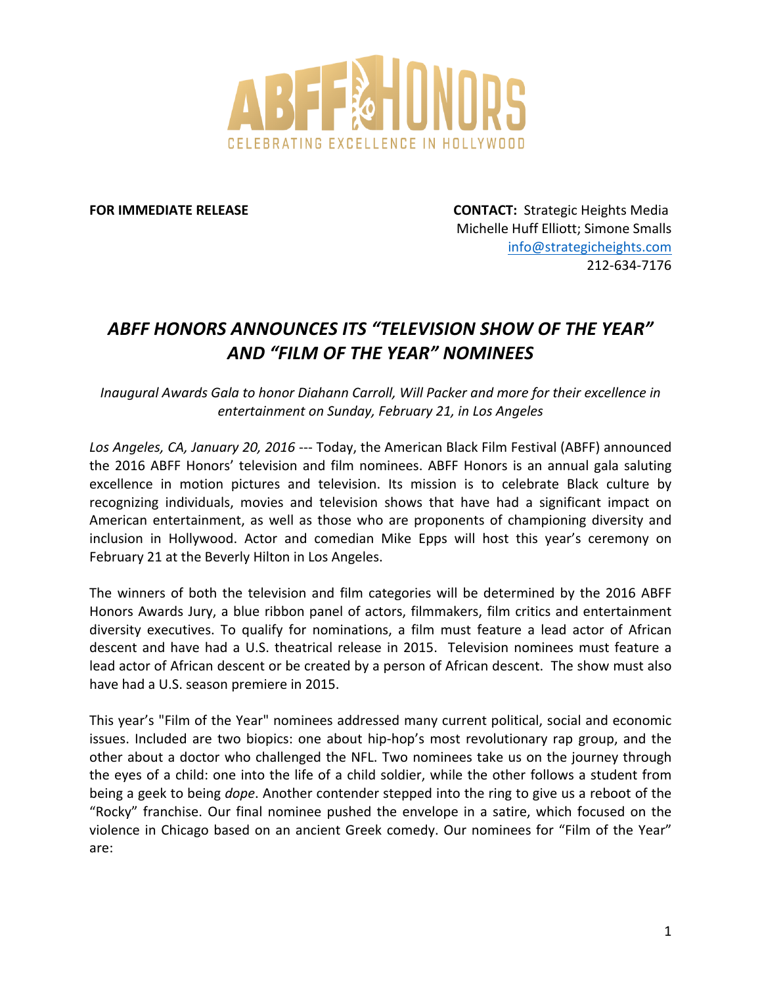

**FOR IMMEDIATE RELEASE ISSUED ASSESSED TO A SERVICE STRATEGIC HEIGHts Media** Michelle Huff Elliott; Simone Smalls info@strategicheights.com 212-634-7176

## *ABFF!HONORS!ANNOUNCES!ITS!"TELEVISION!SHOW!OF!THE!YEAR" AND!"FILM!OF!THE!YEAR"!NOMINEES!*

*Inaugural Awards Gala to honor Diahann Carroll, Will Packer and more for their excellence in entertainment on!Sunday,!February!21,!in!Los!Angeles*

Los Angeles, CA, January 20, 2016 --- Today, the American Black Film Festival (ABFF) announced the 2016 ABFF Honors' television and film nominees. ABFF Honors is an annual gala saluting excellence in motion pictures and television. Its mission is to celebrate Black culture by recognizing individuals, movies and television shows that have had a significant impact on American entertainment, as well as those who are proponents of championing diversity and inclusion in Hollywood. Actor and comedian Mike Epps will host this year's ceremony on February 21 at the Beverly Hilton in Los Angeles.

The winners of both the television and film categories will be determined by the 2016 ABFF Honors Awards Jury, a blue ribbon panel of actors, filmmakers, film critics and entertainment diversity executives. To qualify for nominations, a film must feature a lead actor of African descent and have had a U.S. theatrical release in 2015. Television nominees must feature a lead actor of African descent or be created by a person of African descent. The show must also have had a U.S. season premiere in 2015.

This year's "Film of the Year" nominees addressed many current political, social and economic issues. Included are two biopics: one about hip-hop's most revolutionary rap group, and the other about a doctor who challenged the NFL. Two nominees take us on the journey through the eyes of a child: one into the life of a child soldier, while the other follows a student from being a geek to being *dope*. Another contender stepped into the ring to give us a reboot of the "Rocky" franchise. Our final nominee pushed the envelope in a satire, which focused on the violence in Chicago based on an ancient Greek comedy. Our nominees for "Film of the Year" are: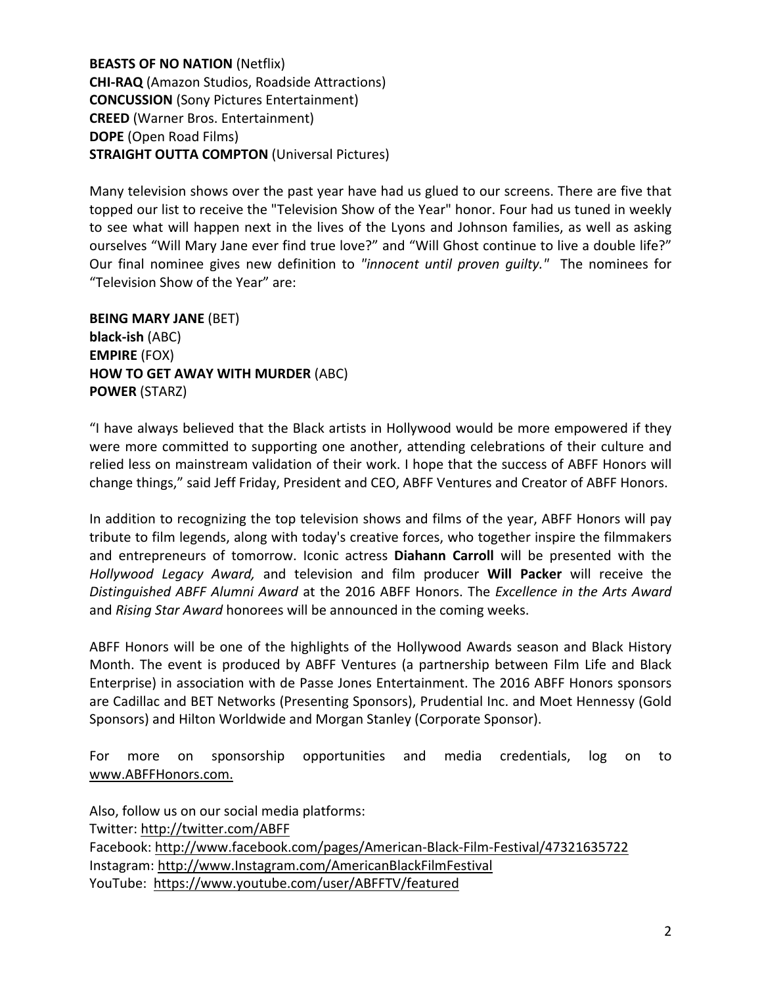**BEASTS OF NO NATION (Netflix) CHI-RAQ** (Amazon Studios, Roadside Attractions) **CONCUSSION** (Sony Pictures Entertainment) **CREED** (Warner Bros. Entertainment) **DOPE** (Open Road Films) **STRAIGHT OUTTA COMPTON** (Universal Pictures)

Many television shows over the past year have had us glued to our screens. There are five that topped our list to receive the "Television Show of the Year" honor. Four had us tuned in weekly to see what will happen next in the lives of the Lyons and Johnson families, as well as asking ourselves "Will Mary Jane ever find true love?" and "Will Ghost continue to live a double life?" Our final nominee gives new definition to "innocent until proven guilty." The nominees for "Television Show of the Year" are:

**BEING MARY JANE (BET) black-ish** (ABC) **EMPIRE\$**(FOX) **HOW TO GET AWAY WITH MURDER (ABC) POWER\$**(STARZ)

"I have always believed that the Black artists in Hollywood would be more empowered if they were more committed to supporting one another, attending celebrations of their culture and relied less on mainstream validation of their work. I hope that the success of ABFF Honors will change things," said Jeff Friday, President and CEO, ABFF Ventures and Creator of ABFF Honors.

In addition to recognizing the top television shows and films of the year, ABFF Honors will pay tribute to film legends, along with today's creative forces, who together inspire the filmmakers and entrepreneurs of tomorrow. Iconic actress **Diahann Carroll** will be presented with the Hollywood Legacy Award, and television and film producer **Will Packer** will receive the *Distinguished ABFF Alumni Award* at the 2016 ABFF Honors. The *Excellence in the Arts Award* and *Rising Star Award* honorees will be announced in the coming weeks.

ABFF Honors will be one of the highlights of the Hollywood Awards season and Black History Month. The event is produced by ABFF Ventures (a partnership between Film Life and Black Enterprise) in association with de Passe Jones Entertainment. The 2016 ABFF Honors sponsors are Cadillac and BET Networks (Presenting Sponsors), Prudential Inc. and Moet Hennessy (Gold Sponsors) and Hilton Worldwide and Morgan Stanley (Corporate Sponsor).

For more on sponsorship opportunities and media credentials, log on to www.ABFFHonors.com.

Also, follow us on our social media platforms: Twitter: http://twitter.com/ABFF Facebook: http://www.facebook.com/pages/American-Black-Film-Festival/47321635722 Instagram: http://www.Instagram.com/AmericanBlackFilmFestival YouTube: https://www.youtube.com/user/ABFFTV/featured